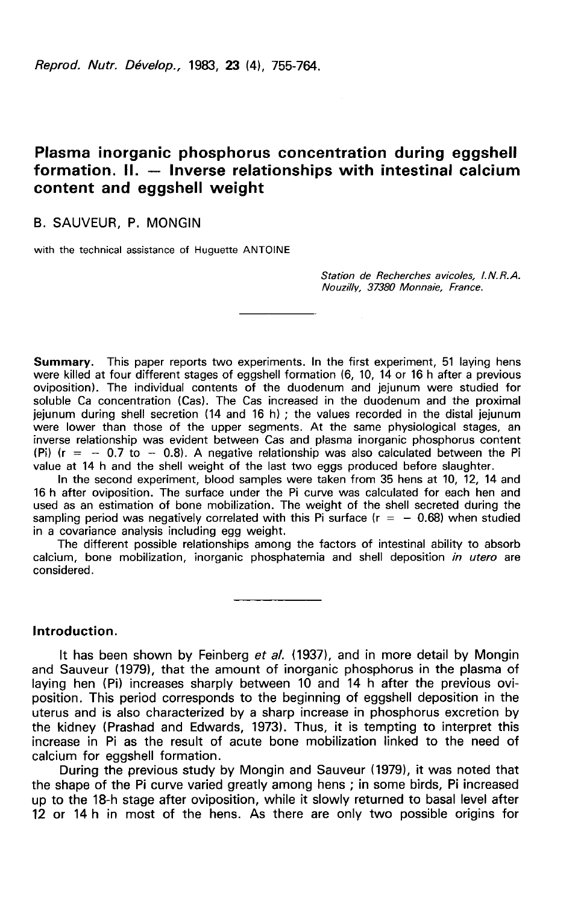Reprod. Nutr. Dévelop., 1983, 23 (4), 755-764.

## Plasma inorganic phosphorus concentration during eggshell formation. II. — Inverse relationships with intestinal calcium content and eggshell weight

## B. SAUVEUR. P. MONGIN

with the technical assistance of Huguette ANTOINE

Station de Recherches avicoles, I.N.R.A. Nouzilly, 37380 Monnaie, France.

Summary. This paper reports two experiments. In the first experiment, 51 laying hens were killed at four different stages of eggshell formation (6, 10, 14 or 16 h after a previous oviposition). The individual contents of the duodenum and jejunum were studied for soluble Ca concentration (Cas). The Cas increased in the duodenum and the proximal ielunum during shell secretion (14 and 16 h) : the values recorded in the distal jejunum were lower than those of the upper segments. At the same physiological stages, an inverse relationship was evident between Cas and plasma inorganic phosphorus content (Pi) ( $r = -0.7$  to  $-0.8$ ). A negative relationship was also calculated between the Pi value at 14 h and the shell weight of the last two eggs produced before slaughter.

In the second experiment, blood samples were taken from 35 hens at 10, 12, 14 and 16 h after oviposition. The surface under the Pi curve was calculated for each hen and used as an estimation of bone mobilization. The weight of the shell secreted during the sampling period was negatively correlated with this Pi surface ( $r = -0.68$ ) when studied in a covariance analysis including egg weight.

The different possible relationships among the factors of intestinal ability to absorb calcium, bone mobilization, inorganic phosphatemia and shell deposition in utero are considered.

### Introduction.

It has been shown by Feinberg et al. (1937), and in more detail by Mongin and Sauveur (1979), that the amount of inorganic phosphorus in the plasma of laying hen (Pi) increases sharply between 10 and 14 h after the previous oviposition. This period corresponds to the beginning of eggshell deposition in the uterus and is also characterized by a sharp increase in phosphorus excretion by the kidney (Prashad and Edwards, 1973). Thus, it is tempting to interpret this increase in Pi as the result of acute bone mobilization linked to the need of calcium for eggshell formation.

During the previous study by Mongin and Sauveur (1979), it was noted that the shape of the Pi curve varied greatly among hens ; in some birds, Pi increased up to the 18-h stage after oviposition, while it slowly returned to basal level after 12 or 14 h in most of the hens. As there are only two possible origins for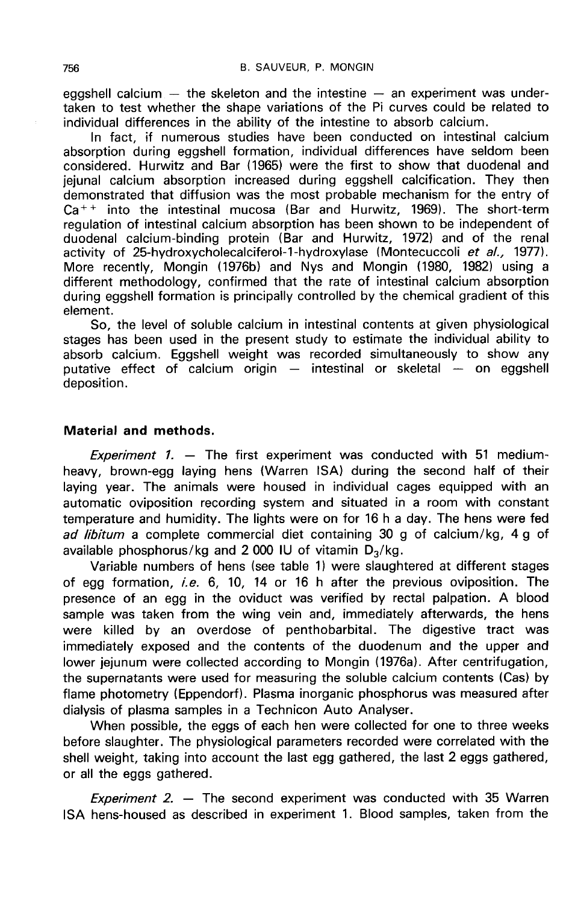egashell calcium  $-$  the skeleton and the intestine  $-$  an experiment was undertaken to test whether the shape variations of the Pi curves could be related to individual differences in the ability of the intestine to absorb calcium.

In fact, if numerous studies have been conducted on intestinal calcium absorption during eggshell formation, individual differences have seldom been considered. Hurwitz and Bar (1965) were the first to show that duodenal and jejunal calcium absorption increased during eggshell calcification. They then demonstrated that diffusion was the most probable mechanism for the entry of  $Ca^{++}$  into the intestinal mucosa (Bar and Hurwitz, 1969). The short-term regulation of intestinal calcium absorption has been shown to be independent of duodenal calcium-binding protein (Bar and Hurwitz, 1972) and of the renal activity of 25-hydroxycholecalciferol-1-hydroxylase (Montecuccoli et al., 1977). More recently, Mongin (1976b) and Nys and Mongin (1980, 1982) using a different methodology, confirmed that the rate of intestinal calcium absorption during eggshell formation is principally controlled by the chemical gradient of this element.

So, the level of soluble calcium in intestinal contents at given physiological stages has been used in the present study to estimate the individual ability to absorb calcium. Eggshell weight was recorded simultaneously to show any putative effect of calcium origin — intestinal or skeletal — on eggshell deposition.

## Material and methods.

Experiment 1.  $-$  The first experiment was conducted with 51 mediumheavy, brown-egg laying hens (Warren ISA) during the second half of their laying year. The animals were housed in individual cages equipped with an automatic oviposition recording system and situated in a room with constant temperature and humidity. The lights were on for 16 h a day. The hens were fed<br>ad libitum a complete commercial diet containing 30 g of calcium/kg, 4 g of<br>available phosphorus/kg and 2 000 IU of vitamin  $D_3/kg$ .<br>Variable ad libitum a complete commercial diet containing 30 g of calcium/kg, 4 g of available phosphorus/kg and 2 000 IU of vitamin  $D_3/kg$ .

Variable numbers of hens (see table 1) were slaughtered at different stages of egg formation, *i.e.* 6, 10, 14 or 16 h after the previous oviposition. The presence of an egg in the oviduct was verified by rectal palpation. A blood sample was taken from the wing vein and, immediately afterwards, the hens were killed by an overdose of penthobarbital. The digestive tract was immediately exposed and the contents of the duodenum and the upper and lower jejunum were collected according to Mongin (1976a). After centrifugation, the supernatants were used for measuring the soluble calcium contents (Cas) by flame photometry (Eppendorf). Plasma inorganic phosphorus was measured after dialysis of plasma samples in a Technicon Auto Analyser.

When possible, the eggs of each hen were collected for one to three weeks before slaughter. The physiological parameters recorded were correlated with the shell weight, taking into account the last egg gathered, the last 2 eggs gathered, or all the eggs gathered.

Experiment 2.  $-$  The second experiment was conducted with 35 Warren ISA hens-housed as described in experiment 1. Blood samples, taken from the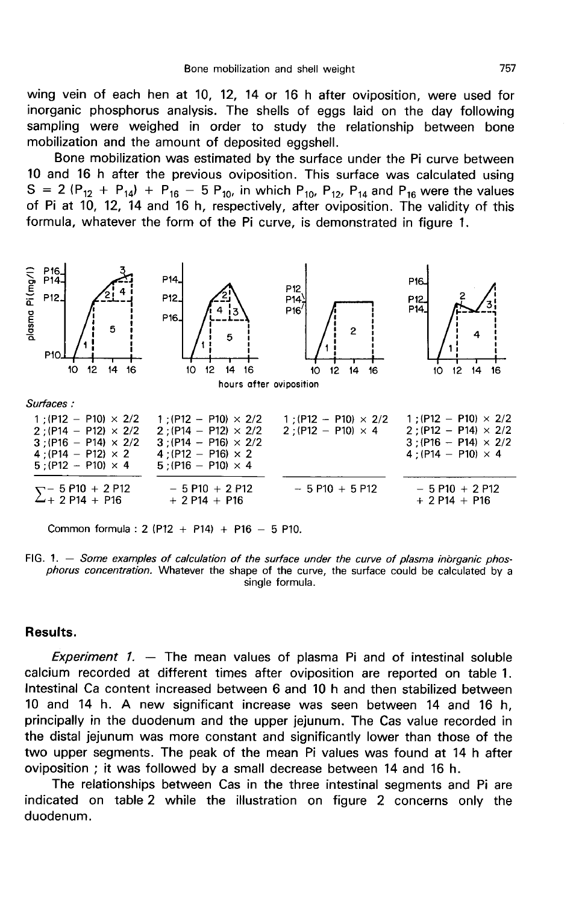wing vein of each hen at 10, 12, 14 or 16 h after oviposition, were used for inorganic phosphorus analysis. The shells of eggs laid on the day following sampling were weighed in order to study the relationship between bone mobilization and the amount of deposited eggshell.

Bone mobilization was estimated by the surface under the Pi curve between 10 and 16 h after the previous oviposition. This surface was calculated using S = 2 (P<sub>12</sub> + P<sub>14</sub>) + P<sub>16</sub> - 5 P<sub>10</sub>, in which P<sub>10</sub>, P<sub>12</sub>, P<sub>14</sub> and P<sub>16</sub> were the values of Pi at 10, 12, 14 and 16 h, respectively, after oviposition. The validity of this formula, whatever the form of the Pi curve, is demonstrated in figure 1.



Common formula : 2 (P12 + P14) + P16 - 5 P10.

FIG. 1. - Some examples of calculation of the surface under the curve of plasma inorganic phosphorus concentration. Whatever the shape of the curve, the surface could be calculated by a single formula.

## Results.

Experiment 1.  $-$  The mean values of plasma Pi and of intestinal soluble calcium recorded at different times after oviposition are reported on table 1. Intestinal Ca content increased between 6 and 10 h and then stabilized between 10 and 14 h. A new significant increase was seen between 14 and 16 h, principally in the duodenum and the upper jejunum. The Cas value recorded in the distal jejunum was more constant and significantly lower than those of the two upper segments. The peak of the mean Pi values was found at 14 h after oviposition ; it was followed by a small decrease between 14 and 16 h.

The relationships between Cas in the three intestinal segments and Pi are indicated on table 2 while the illustration on figure 2 concerns only the duodenum.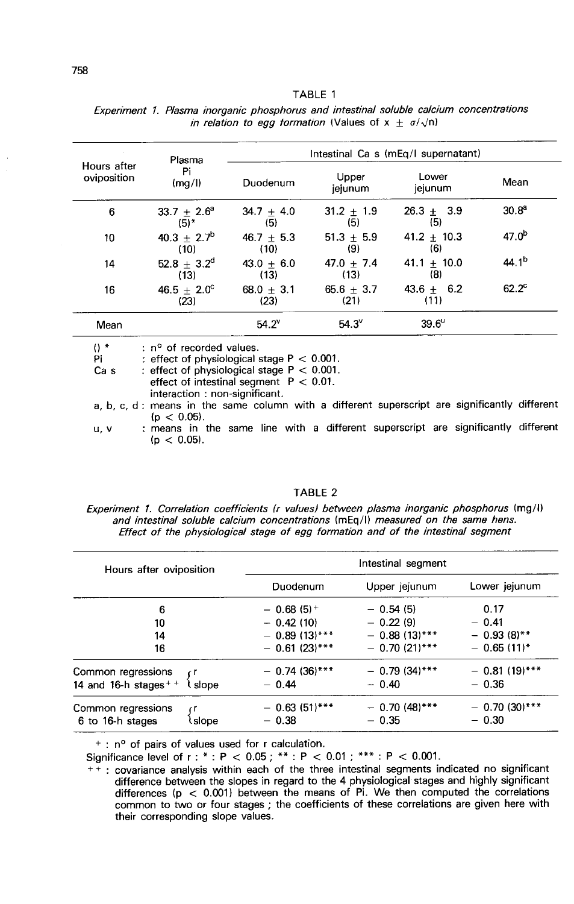|                            | Plasma                          | Intestinal Ca s (mEq/I supernatant) |                      |                      |                   |  |
|----------------------------|---------------------------------|-------------------------------------|----------------------|----------------------|-------------------|--|
| Hours after<br>oviposition | Pi<br>(mg/l)                    | Duodenum                            | Upper<br>jejunum     | Lower<br>jejunum     | Mean              |  |
| 6                          | $33.7 + 2.6^{\circ}$<br>$(5)$ * | 34.7 $\pm$ 4.0<br>(5)               | $31.2 + 1.9$<br>(5)  | $26.3 + 3.9$<br>(5)  | 30.8 <sup>a</sup> |  |
| 10                         | $40.3 + 2.7^b$<br>(10)          | 46.7 $\pm$ 5.3<br>(10)              | $51.3 + 5.9$<br>(9)  | $41.2 + 10.3$<br>(6) | 47.0 <sup>b</sup> |  |
| 14                         | $52.8 + 3.2^d$<br>(13)          | $43.0 + 6.0$<br>(13)                | $47.0 + 7.4$<br>(13) | $41.1 + 10.0$<br>(8) | 44.1 <sup>b</sup> |  |
| 16                         | $46.5 + 2.0^{\circ}$<br>(23)    | $68.0 + 3.1$<br>(23)                | $65.6 + 3.7$<br>(21) | $43.6 + 6.2$<br>(11) | $62.2^{\circ}$    |  |
| Mean                       |                                 | $54.2^v$                            | $54.3^{\circ}$       | $39.6^{\circ}$       |                   |  |

# TABLE 1 Experiment 1. Plasma inorganic phosphorus and intestinal soluble calcium concentrations

interaction: non-significant. a, b, c, d : means in the same column with a different superscript are significantly different  $(p < 0.05)$ .

effect of intestinal segment  $P < 0.01$ .

: means in the same line with a different superscript are significantly different u, v  $(p < 0.05)$ .

#### TABLE 2

Experiment 1. Correlation coefficients (r values) between plasma inorganic phosphorus (mg/l) and intestinal soluble calcium concentrations (mEq/l) measured on the same hens. Effect of the physiological stage of egg formation and of the intestinal segment

| Hours after oviposition           | Intestinal segment      |                 |                  |  |  |
|-----------------------------------|-------------------------|-----------------|------------------|--|--|
|                                   | Duodenum                | Upper jejunum   | Lower jejunum    |  |  |
| 6                                 | $-0.68(5)$ <sup>+</sup> | $-0.54(5)$      | 0.17             |  |  |
| 10                                | $-0.42(10)$             | $-0.22(9)$      | $-0.41$          |  |  |
| 14                                | $-0.89(13)$ ***         | $-0.88(13)$ *** | $-0.93(8)$ **    |  |  |
| 16                                | $-$ 0.61 (23)***        | $-0.70(21)$ *** | $-0.65(11)^{*}$  |  |  |
| Common regressions                | $-0.74(36)***$          | $-0.79(34)$ *** | $-$ 0.81 (19)*** |  |  |
| 14 and 16-h stages $+$ +<br>slope | $-0.44$                 | $-0.40$         | $-0.36$          |  |  |
| Common regressions                | $-0.63(51)$ ***         | $-0.70(48)$ *** | $-0.70(30)$ ***  |  |  |
| 6 to 16-h stages<br>slope         | $-0.38$                 | $-0.35$         | $-0.30$          |  |  |

<sup>+</sup>: n<sup>o</sup> of pairs of values used for r calculation.

Significance level of r: \*: P < 0.05; \*\*: P < 0.01; \*\*\*: P < 0.001.

++: covariance analysis within each of the three intestinal segments indicated no significant difference between the slopes in regard to the 4 physiological stages and highly significant differences  $(p < 0.001)$  between the means of Pi. We then computed the correlations common to two or four stages ; the coefficients of these correlations are given here with their corresponding slope values.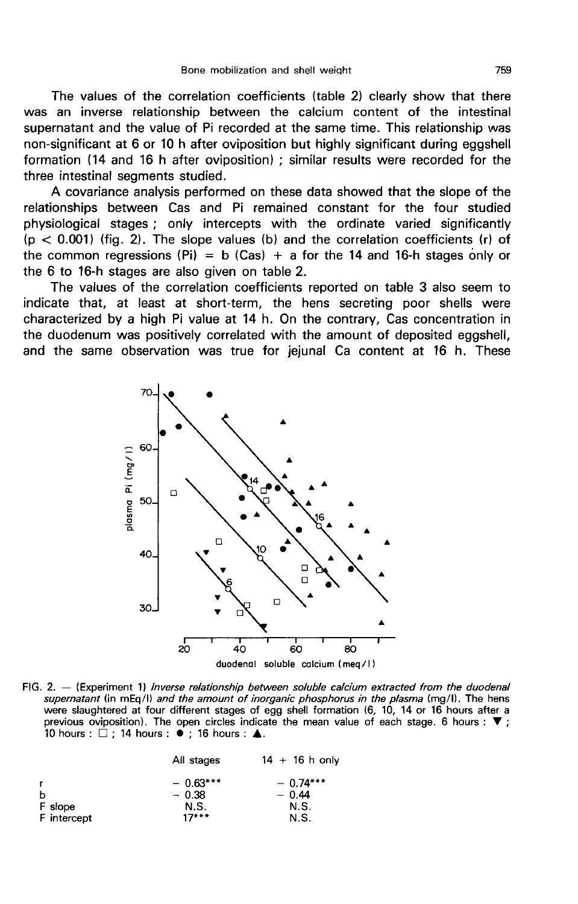The values of the correlation coefficients (table 2) clearly show that there was an inverse relationship between the calcium content of the intestinal supernatant and the value of Pi recorded at the same time. This relationship was non-significant at 6 or 10 h after oviposition but highly significant during eggshell formation (14 and 16 h after oviposition) ; similar results were recorded for the three intestinal segments studied.

A covariance analysis performed on these data showed that the slope of the relationships between Cas and Pi remained constant for the four studied physiological stages ; only intercepts with the ordinate varied significantly  $(p < 0.001)$  (fig. 2). The slope values (b) and the correlation coefficients (r) of the common regressions (Pi) = b (Cas) + a for the 14 and 16-h stages only or the 6 to 16-h stages are also given on table 2.

The values of the correlation coefficients reported on table 3 also seem to indicate that, at least at short-term, the hens secreting poor shells were characterized by a high Pi value at 14 h. On the contrary, Cas concentration in the duodenum was positively correlated with the amount of deposited eggshell, and the same observation was true for jejunal Ca content at 16 h. These



FIG. 2.  $-$  (Experiment 1) *Inverse relationship between soluble calcium extracted from the duodenal* supernatant (in mEq/l) and the amount of inorganic phosphorus in the plasma (mg/l). The hens were slaughtered at four different stages of egg shell formation (6, 10, 14 or 16 hours after a previous oviposition). The open circles indicate the mean value of each stage. 6 hours :  $\blacktriangledown$  ; 10 hours :  $\Box$  : 14 hours :  $\bullet$  : 16 hours :  $\blacktriangle$ .

|             | All stages | $14 + 16$ h only |
|-------------|------------|------------------|
| r           | $-0.63***$ | $-0.74***$       |
| b           | $-0.38$    | $-0.44$          |
| F slope     | N.S.       | N.S.             |
| F intercept | $17***$    | N.S.             |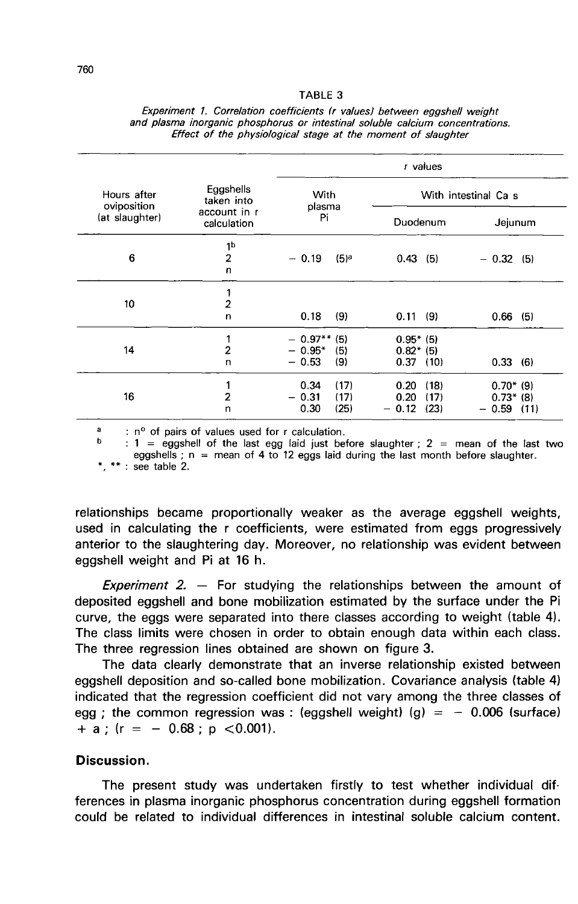#### TABLE 3

|                            |                             | r values              |                  |                      |       |             |         |  |
|----------------------------|-----------------------------|-----------------------|------------------|----------------------|-------|-------------|---------|--|
| Hours after<br>oviposition | Eggshells<br>taken into     | <b>With</b><br>plasma |                  | With intestinal Ca s |       |             |         |  |
| (at slaughter)             | account in r<br>calculation |                       |                  | Duodenum             |       |             | Jejunum |  |
|                            | 1b                          |                       |                  |                      |       |             |         |  |
| 6                          | $\overline{2}$              | $-0.19$               | (5) <sup>a</sup> | $0.43$ (5)           |       | $-0.32(5)$  |         |  |
|                            | n                           |                       |                  |                      |       |             |         |  |
|                            | 1                           |                       |                  |                      |       |             |         |  |
| 10                         | 2                           |                       |                  |                      |       |             |         |  |
|                            | n                           | 0.18                  | (9)              | 0.11                 | - (9) | $0.66$ (5)  |         |  |
|                            | 1                           | $-0.97**$ (5)         |                  | $0.95*$ (5)          |       |             |         |  |
| 14                         | $\overline{2}$              | $-0.95*$              | (5)              | $0.82*$ (5)          |       |             |         |  |
|                            | n                           | $-0.53$               | (9)              | $0.37$ (10)          |       | 0.33(6)     |         |  |
|                            | 1                           | 0.34                  | (17)             | 0.20                 | (18)  | $0.70*$ (9) |         |  |
| 16                         | $\overline{2}$              | $-0.31$               | (17)             | 0.20                 | (17)  | $0.73*$ (8) |         |  |
|                            | n                           | 0.30                  | (25)             | $-0.12$              | (23)  | $-0.59$     | (11)    |  |

#### Experiment 1. Correlation coefficients (r values) between eggshell weight and plasma inorganic phosphorus or intestinal soluble calcium concentrations. Effect of the physiological stage at the moment of slaughter

: n° of pairs of values used for r calculation.

: 1 = eggshell of the last egg laid just before slaughter ; 2 = mean of the last two eggshells;  $n =$  mean of 4 to 12 eggs laid during the last month before slaughter.

\*, \*\* : see table 2.

relationships became proportionally weaker as the average eggshell weights, used in calculating the r coefficients, were estimated from eggs progressively anterior to the slaughtering day. Moreover, no relationship was evident between eggshell weight and Pi at 16 h.

Experiment 2.  $-$  For studying the relationships between the amount of deposited eggshell and bone mobilization estimated by the surface under the Pi curve, the eggs were separated into there classes according to weight (table 4). The class limits were chosen in order to obtain enough data within each class. The three regression lines obtained are shown on figure 3.

The data clearly demonstrate that an inverse relationship existed between eggshell deposition and so-called bone mobilization. Covariance analysis (table 4) indicated that the regression coefficient did not vary among the three classes of egg ; the common regression was : (eggshell weight) (g) =  $-$  0.006 (surface)  $+$  a ; (r = - 0.68 ; p < 0.001).

## Discussion.

The present study was undertaken firstly to test whether individual differences in plasma inorganic phosphorus concentration during eggshell formation could be related to individual differences in intestinal soluble calcium content.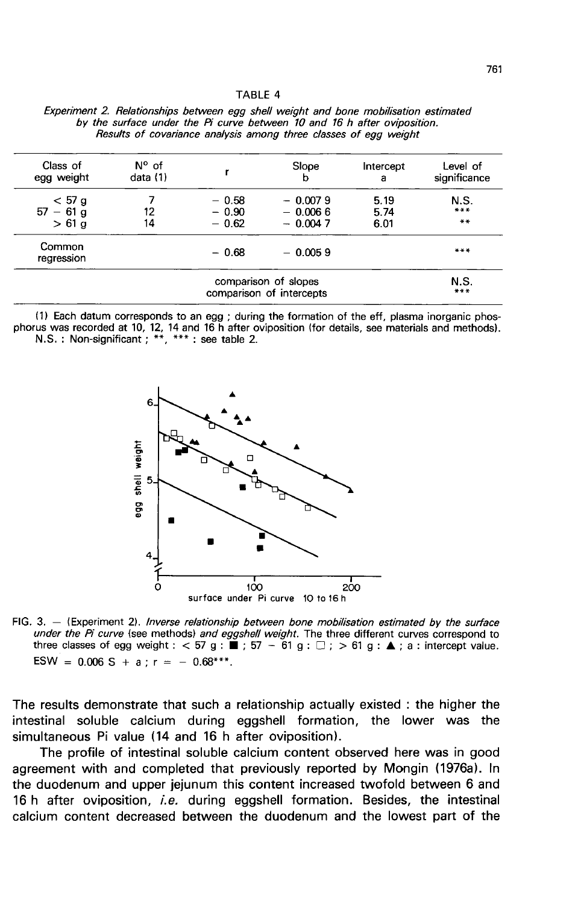#### TARIF4

| Class of<br>egg weight                           | $N^{\circ}$ of<br>data (1) |                    | Slope<br>b             | Intercept<br>a | Level of<br>significance |
|--------------------------------------------------|----------------------------|--------------------|------------------------|----------------|--------------------------|
| $<$ 57 g<br>$57 - 61$ g                          | 12                         | $-0.58$<br>$-0.90$ | $-0.0079$<br>$-0.0066$ | 5.19<br>5.74   | N.S.<br>***              |
| $>61$ a                                          | 14                         | $-0.62$            | $-0.0047$              | 6.01           | $***$                    |
| Common<br>regression                             |                            | $-0.68$            | $-0.0059$              |                | ***                      |
| comparison of slopes<br>comparison of intercepts |                            |                    |                        |                | N.S.<br>$***$            |

Experiment 2. Relationships between egg shell weight and bone mobilisation estimated by the surface under the Pi curve between 10 and 16 h after oviposition. Results of covariance analysis among three classes of egg weight

(1) Each datum corresponds to an egg; during the formation of the eff, plasma inorganic phosphorus was recorded at 10, 12, 14 and 16 h after oviposition (for details, see materials and methods). N.S. : Non-significant ; \*\*, \*\*\* : see table 2.



FIG. 3. - (Experiment 2). Inverse relationship between bone mobilisation estimated by the surface under the Pi curve (see methods) and eggshell weight. The three different curves correspond to three classes of egg weight :  $<$  57 g :  $\blacksquare$ ; 57 - 61 g :  $\square$ ;  $>$  61 g :  $\blacktriangle$ ; a : intercept value. ESW =  $0.006$  S + a ; r = -  $0.68***$ .

The results demonstrate that such a relationship actually existed : the higher the intestinal soluble calcium during eggshell formation, the lower was the simultaneous Pi value (14 and 16 h after oviposition).

The profile of intestinal soluble calcium content observed here was in good agreement with and completed that previously reported by Mongin (1976a). In the duodenum and upper jejunum this content increased twofold between 6 and 16 h after oviposition, *i.e.* during eggshell formation. Besides, the intestinal calcium content decreased between the duodenum and the lowest part of the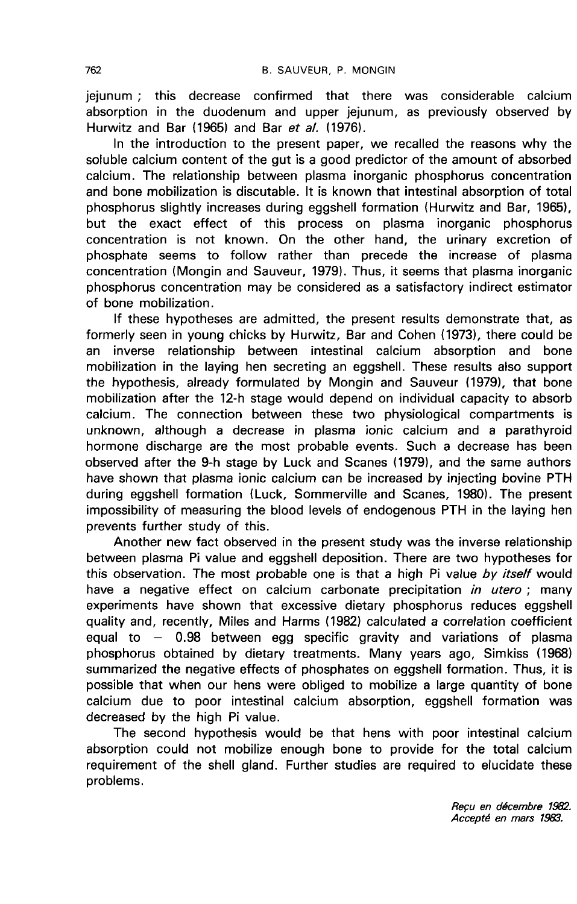jejunum ; this decrease confirmed that there was considerable calcium absorption in the duodenum and upper jejunum, as previously observed by Hurwitz and Bar (1965) and Bar et a/. (1976).

In the introduction to the present paper, we recalled the reasons why the soluble calcium content of the gut is a good predictor of the amount of absorbed calcium. The relationship between plasma inorganic phosphorus concentration and bone mobilization is discutable. It is known that intestinal absorption of total phosphorus slightly increases during eggshell formation (Hurwitz and Bar, 1965), but the exact effect of this process on plasma inorganic phosphorus concentration is not known. On the other hand, the urinary excretion of phosphate seems to follow rather than precede the increase of plasma concentration (Mongin and Sauveur, 1979). Thus, it seems that plasma inorganic phosphorus concentration may be considered as a satisfactory indirect estimator of bone mobilization.

If these hypotheses are admitted, the present results demonstrate that, as formerly seen in young chicks by Hurwitz, Bar and Cohen (1973), there could be an inverse relationship between intestinal calcium absorption and bone mobilization in the laying hen secreting an eggshell. These results also support the hypothesis, already formulated by Mongin and Sauveur (1979), that bone mobilization after the 12-h stage would depend on individual capacity to absorb calcium. The connection between these two physiological compartments is unknown, although a decrease in plasma ionic calcium and a parathyroid hormone discharge are the most probable events. Such a decrease has been observed after the 9-h stage by Luck and Scanes (1979), and the same authors have shown that plasma ionic calcium can be increased by injecting bovine PTH during eggshell formation (Luck, Sommerville and Scanes, 1980). The present impossibility of measuring the blood levels of endogenous PTH in the laying hen prevents further study of this.

Another new fact observed in the present study was the inverse relationship between plasma Pi value and eggshell deposition. There are two hypotheses for this observation. The most probable one is that a high Pi value by itself would have a negative effect on calcium carbonate precipitation in utero; many experiments have shown that excessive dietary phosphorus reduces eggshell quality and, recently, Miles and Harms (1982) calculated a correlation coefficient equal to  $-$  0.98 between egg specific gravity and variations of plasma phosphorus obtained by dietary treatments. Many years ago, Simkiss (1968) summarized the negative effects of phosphates on eggshell formation. Thus, it is possible that when our hens were obliged to mobilize a large quantity of bone calcium due to poor intestinal calcium absorption, eggshell formation was decreased by the high Pi value.

The second hypothesis would be that hens with poor intestinal calcium absorption could not mobilize enough bone to provide for the total calcium requirement of the shell gland. Further studies are required to elucidate these problems.

> Reçu en décembre 1982. Accepté en mars 1983.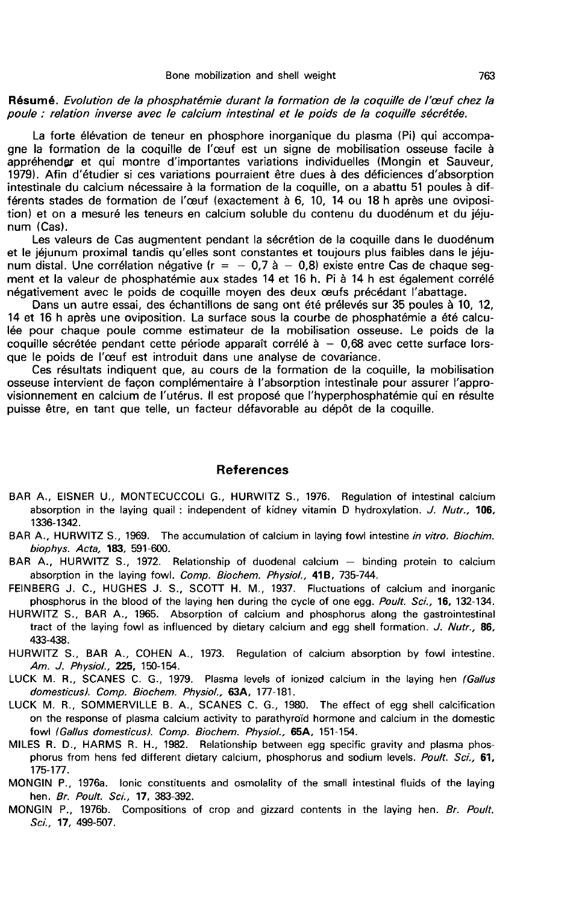#### Résumé. Evolution de la phosphatémie durant la formation de la coquille de l'œuf chez la poule : relation inverse avec le calcium intestinal et le poids de la coquille sécrétée.

La forte élévation de teneur en phosphore inorganique du plasma (Pi) qui accompagne la formation de la coquille de l'oeuf est un signe de mobilisation osseuse facile à appréhender et qui montre d'importantes variations individuelles (Mongin et Sauveur, 1979). Afin d'étudier si ces variations pourraient être dues à des déficiences d'absorption intestinale du calcium nécessaire à la formation de la coquille, on a abattu 51 poules à différents stades de formation de l'oeuf (exactement à 6, 10, 14 ou 18 h après une oviposition) et on a mesuré les teneurs en calcium soluble du contenu du duodénum et du jéju-<br>num (Cas).

Les valeurs de Cas augmentent pendant la sécrétion de la coquille dans le duodénum<br>et le jéjunum proximal tandis qu'elles sont constantes et toujours plus faibles dans le jéjunum distal. Une corrélation négative ( $r = -0.7$  à  $-0.8$ ) existe entre Cas de chaque segment et la valeur de phosphatémie aux stades 14 et 16 h. Pi à 14 h est également corrélé négativement avec le poids de coquille moyen des deux oeufs précédant l'abattage.

Dans un autre essai, des échantillons de sang ont été prélevés sur 35 poules à 10, 12, 14 et 16 h après une oviposition. La surface sous la courbe de phosphatémie a été calculée pour chaque poule comme estimateur de la mobilisation osseuse. Le poids de la coquille sécrétée pendant cette période apparaît corrélé  $\dot{a} - 0.68$  avec cette surface lorsque le poids de l'oeuf est introduit dans une analyse de covariance.

Ces résultats indiquent que, au cours de la formation de la coquille, la mobilisation osseuse intervient de façon complémentaire à l'absorption intestinale pour assurer l'approvisionnement en calcium de l'utérus. Il est proposé que l'hyperphosphatémie qui en résulte puisse être, en tant que telle, un facteur défavorable au dépôt de la coquille.

#### References

- BAR A., EISNER U., MONTECUCCOLI G., HURWITZ S., 1976. Regulation of intestinal calcium absorption in the laying quail : independent of kidney vitamin D hydroxylation. J. Nutr., 106. 1336-1342.
- BAR A., HURWITZ S., 1969. The accumulation of calcium in laying fowl intestine in vitro. Biochim. biophys. Acta, 183, 591-600.
- BAR A., HURWITZ S., 1972. Relationship of duodenal calcium ― binding protein to calcium absorption in the laying fowl. Comp. Biochem. Physiol., 41B, 735-744.
- FEINBERG J. C., HUGHES J. S., SCOTT H. M., 1937. Fluctuations of calcium and inorganic phosphorus in the blood of the laying hen during the cycle of one egg. Poult. Sci., 16, 132-134.
- HURWITZ S., BAR A., 1965. Absorption of calcium and phosphorus along the gastrointestinal tract of the laying fowl as influenced by dietary calcium and egg shell formation. J. Nutr., 86, 433-438.
- HURWITZ S., BAR A., COHEN A., 1973. Regulation of calcium absorption by fowl intestine. Am. J. Physiol., 225, 150-154.
- LUCK M. R., SCANES C. G., 1979. Plasma levels of ionized calcium in the laying hen (Gallus domesticus). Comp. Biochem. Physiol., 63A, 177-181.
- LUCK M. R., SOMMERVILLE B. A., SCANES C. G., 1980. The effect of egg shell calcification on the response of plasma calcium activity to parathyroid hormone and calcium in the domestic fowl (Gallus domesticus). Comp. Biochem. Physiol., 65A, 151-154.
- MILES R. D., HARMS R. H., 1982. Relationship between egg specific gravity and plasma phosphorus from hens fed different dietary calcium, phosphorus and sodium levels. Poult. Sci., 61, 175-177.
- MONGIN P., 1976a. Ionic constituents and osmolality of the small intestinal fluids of the laying hen. Br. Poult. Sci., 17, 383-392.
- MONGIN P., 1976b. Compositions of crop and gizzard contents in the laying hen. Br. Poult. Sci., **17, 499-507.**